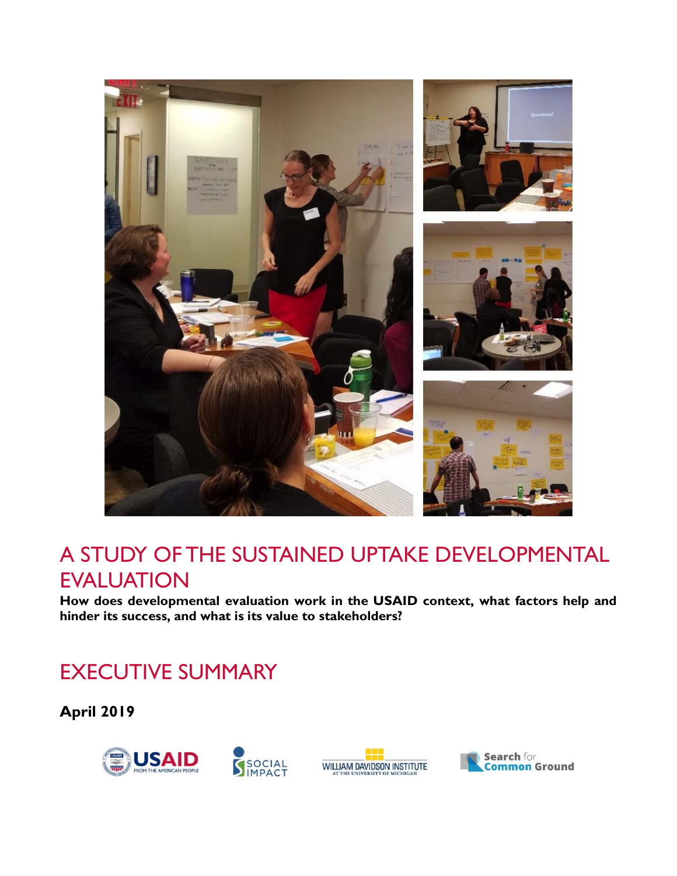

# A STUDY OF THE SUSTAINED UPTAKE DEVELOPMENTAL EVALUATION

**How does developmental evaluation work in the USAID context, what factors help and hinder its success, and what is its value to stakeholders?**

# EXECUTIVE SUMMARY

**April 2019**





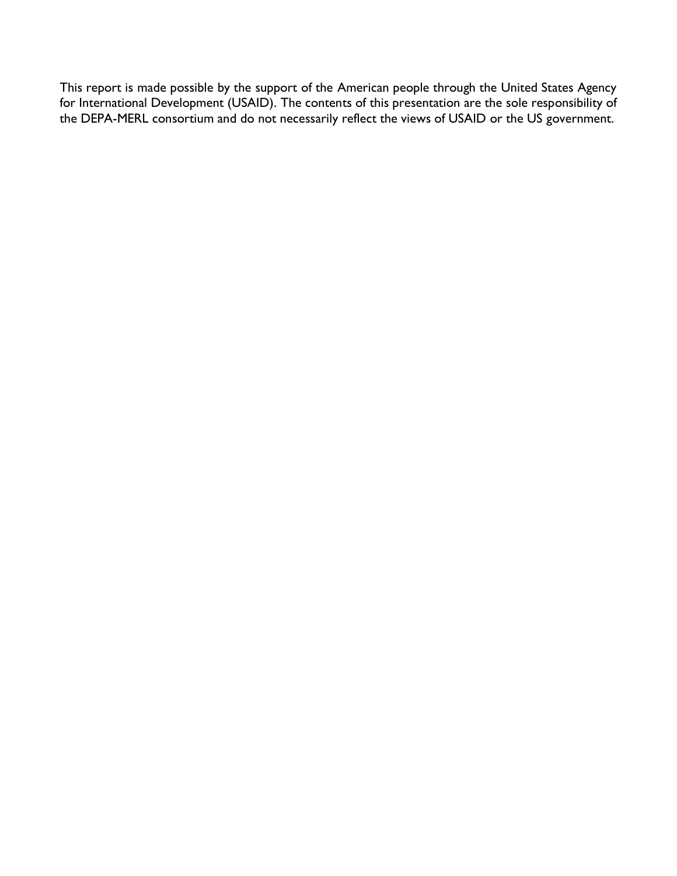This report is made possible by the support of the American people through the United States Agency for International Development (USAID). The contents of this presentation are the sole responsibility of the DEPA-MERL consortium and do not necessarily reflect the views of USAID or the US government.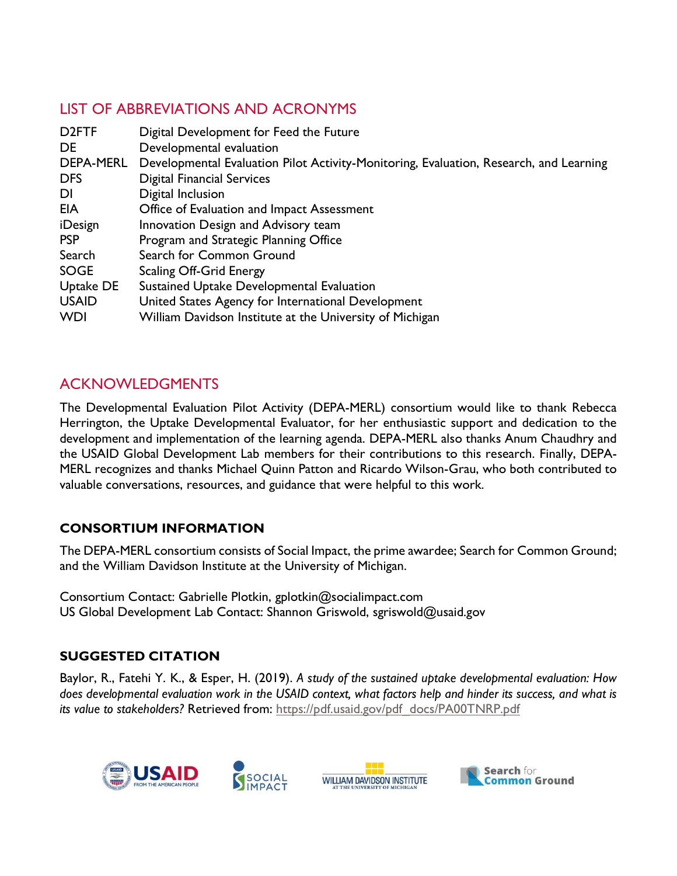# LIST OF ABBREVIATIONS AND ACRONYMS

| D <sub>2</sub> FTF | Digital Development for Feed the Future                                                |
|--------------------|----------------------------------------------------------------------------------------|
| DE                 | Developmental evaluation                                                               |
| DEPA-MERL          | Developmental Evaluation Pilot Activity-Monitoring, Evaluation, Research, and Learning |
| <b>DFS</b>         | <b>Digital Financial Services</b>                                                      |
| <b>DI</b>          | Digital Inclusion                                                                      |
| EIA                | Office of Evaluation and Impact Assessment                                             |
| iDesign            | Innovation Design and Advisory team                                                    |
| <b>PSP</b>         | Program and Strategic Planning Office                                                  |
| Search             | Search for Common Ground                                                               |
| <b>SOGE</b>        | <b>Scaling Off-Grid Energy</b>                                                         |
| Uptake DE          | Sustained Uptake Developmental Evaluation                                              |
| <b>USAID</b>       | United States Agency for International Development                                     |
| <b>WDI</b>         | William Davidson Institute at the University of Michigan                               |

# ACKNOWLEDGMENTS

The Developmental Evaluation Pilot Activity (DEPA-MERL) consortium would like to thank Rebecca Herrington, the Uptake Developmental Evaluator, for her enthusiastic support and dedication to the development and implementation of the learning agenda. DEPA-MERL also thanks Anum Chaudhry and the USAID Global Development Lab members for their contributions to this research. Finally, DEPA-MERL recognizes and thanks Michael Quinn Patton and Ricardo Wilson-Grau, who both contributed to valuable conversations, resources, and guidance that were helpful to this work.

## **CONSORTIUM INFORMATION**

The DEPA-MERL consortium consists of Social Impact, the prime awardee; Search for Common Ground; and the William Davidson Institute at the University of Michigan.

Consortium Contact: Gabrielle Plotkin, gplotkin@socialimpact.com US Global Development Lab Contact: Shannon Griswold, sgriswold@usaid.gov

## **SUGGESTED CITATION**

Baylor, R., Fatehi Y. K., & Esper, H. (2019). *A study of the sustained uptake developmental evaluation: How*  does developmental evaluation work in the USAID context, what factors help and hinder its success, and what is *its value to stakeholders?* Retrieved from: [https://pdf.usaid.gov/pdf\\_docs/PA00TNRP.pdf](https://pdf.usaid.gov/pdf_docs/PA00TNRP.pdf)

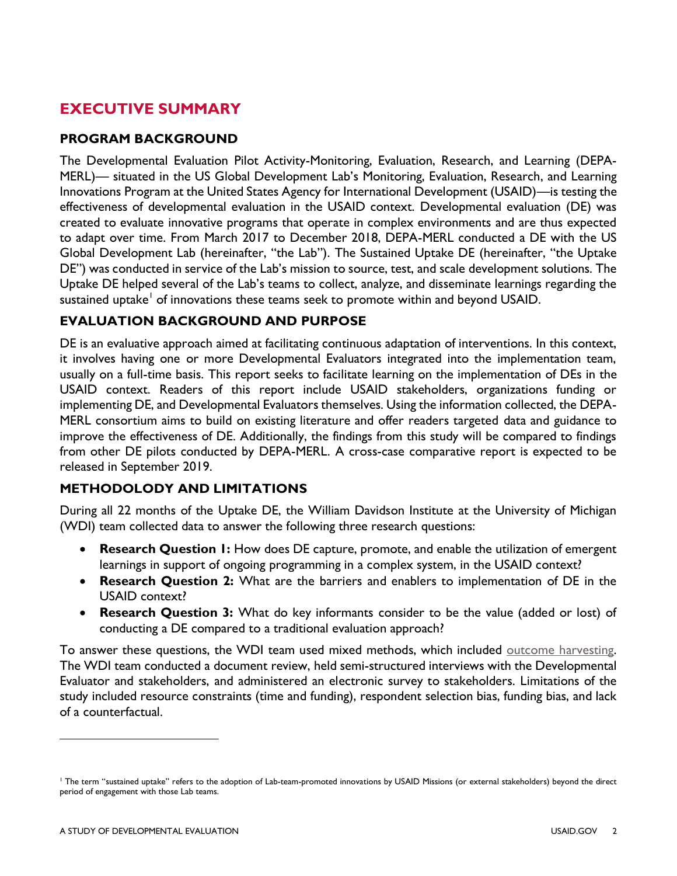# **EXECUTIVE SUMMARY**

### **PROGRAM BACKGROUND**

The Developmental Evaluation Pilot Activity-Monitoring, Evaluation, Research, and Learning (DEPA-MERL)— situated in the US Global Development Lab's Monitoring, Evaluation, Research, and Learning Innovations Program at the United States Agency for International Development (USAID)—is testing the effectiveness of developmental evaluation in the USAID context. Developmental evaluation (DE) was created to evaluate innovative programs that operate in complex environments and are thus expected to adapt over time. From March 2017 to December 2018, DEPA-MERL conducted a DE with the US Global Development Lab (hereinafter, "the Lab"). The Sustained Uptake DE (hereinafter, "the Uptake DE") was conducted in service of the Lab's mission to source, test, and scale development solutions. The Uptake DE helped several of the Lab's teams to collect, analyze, and disseminate learnings regarding the sustained uptake $^{\rm l}$  of innovations these teams seek to promote within and beyond USAID.

## **EVALUATION BACKGROUND AND PURPOSE**

DE is an evaluative approach aimed at facilitating continuous adaptation of interventions. In this context, it involves having one or more Developmental Evaluators integrated into the implementation team, usually on a full-time basis. This report seeks to facilitate learning on the implementation of DEs in the USAID context. Readers of this report include USAID stakeholders, organizations funding or implementing DE, and Developmental Evaluators themselves. Using the information collected, the DEPA-MERL consortium aims to build on existing literature and offer readers targeted data and guidance to improve the effectiveness of DE. Additionally, the findings from this study will be compared to findings from other DE pilots conducted by DEPA-MERL. A cross-case comparative report is expected to be released in September 2019.

### **METHODOLODY AND LIMITATIONS**

During all 22 months of the Uptake DE, the William Davidson Institute at the University of Michigan (WDI) team collected data to answer the following three research questions:

- **Research Question I:** How does DE capture, promote, and enable the utilization of emergent learnings in support of ongoing programming in a complex system, in the USAID context?
- **Research Question 2:** What are the barriers and enablers to implementation of DE in the USAID context?
- **Research Question 3:** What do key informants consider to be the value (added or lost) of conducting a DE compared to a traditional evaluation approach?

To answer these questions, the WDI team used mixed methods, which included [outcome harvesting.](http://outcomeharvesting.net/) The WDI team conducted a document review, held semi-structured interviews with the Developmental Evaluator and stakeholders, and administered an electronic survey to stakeholders. Limitations of the study included resource constraints (time and funding), respondent selection bias, funding bias, and lack of a counterfactual.

 $\overline{a}$ 

<sup>1</sup> The term "sustained uptake" refers to the adoption of Lab-team-promoted innovations by USAID Missions (or external stakeholders) beyond the direct period of engagement with those Lab teams.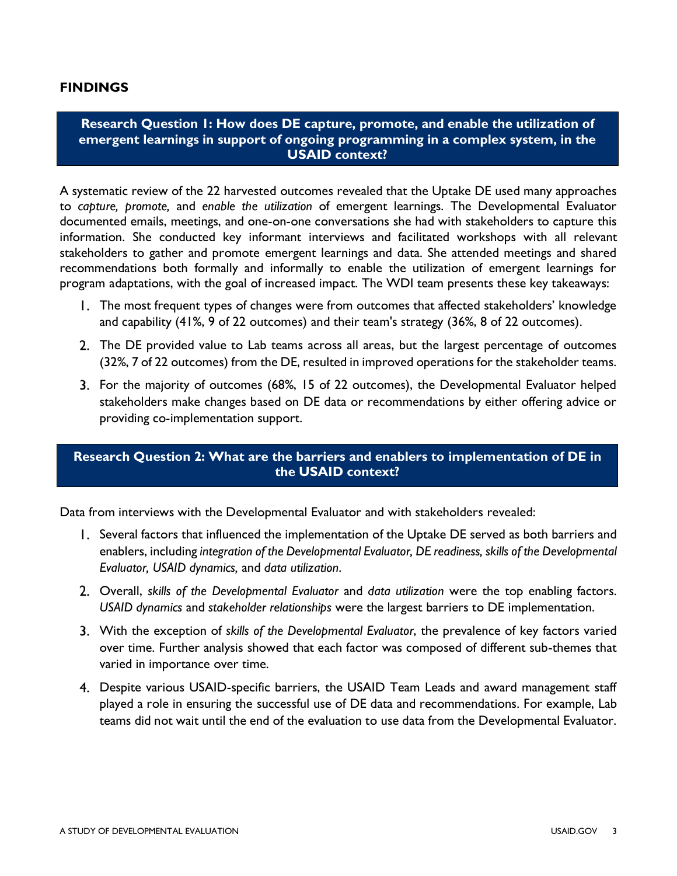#### **FINDINGS**

#### **Research Question 1: How does DE capture, promote, and enable the utilization of emergent learnings in support of ongoing programming in a complex system, in the USAID context?**

A systematic review of the 22 harvested outcomes revealed that the Uptake DE used many approaches to *capture, promote,* and *enable the utilization* of emergent learnings. The Developmental Evaluator documented emails, meetings, and one-on-one conversations she had with stakeholders to capture this information. She conducted key informant interviews and facilitated workshops with all relevant stakeholders to gather and promote emergent learnings and data. She attended meetings and shared recommendations both formally and informally to enable the utilization of emergent learnings for program adaptations, with the goal of increased impact. The WDI team presents these key takeaways:

- The most frequent types of changes were from outcomes that affected stakeholders' knowledge and capability (41%, 9 of 22 outcomes) and their team's strategy (36%, 8 of 22 outcomes).
- The DE provided value to Lab teams across all areas, but the largest percentage of outcomes (32%, 7 of 22 outcomes) from the DE, resulted in improved operations for the stakeholder teams.
- For the majority of outcomes (68%, 15 of 22 outcomes), the Developmental Evaluator helped stakeholders make changes based on DE data or recommendations by either offering advice or providing co-implementation support.

### **Research Question 2: What are the barriers and enablers to implementation of DE in the USAID context?**

Data from interviews with the Developmental Evaluator and with stakeholders revealed:

- 1. Several factors that influenced the implementation of the Uptake DE served as both barriers and enablers, including *integration of the Developmental Evaluator, DE readiness, skills of the Developmental Evaluator, USAID dynamics,* and *data utilization*.
- Overall, *skills of the Developmental Evaluator* and *data utilization* were the top enabling factors. *USAID dynamics* and *stakeholder relationships* were the largest barriers to DE implementation.
- With the exception of *skills of the Developmental Evaluator*, the prevalence of key factors varied over time. Further analysis showed that each factor was composed of different sub-themes that varied in importance over time.
- Despite various USAID-specific barriers, the USAID Team Leads and award management staff played a role in ensuring the successful use of DE data and recommendations. For example, Lab teams did not wait until the end of the evaluation to use data from the Developmental Evaluator.